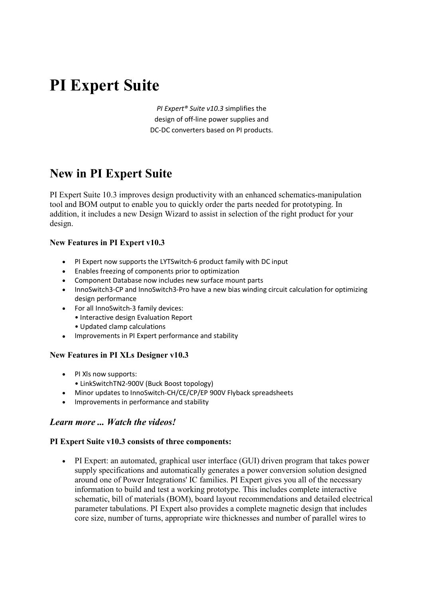# **PI Expert Suite**

*PI Expert® Suite v10.3* simplifies the design of off-line power supplies and DC-DC converters based on PI products.

# **New in PI Expert Suite**

PI Expert Suite 10.3 improves design productivity with an enhanced schematics-manipulation tool and BOM output to enable you to quickly order the parts needed for prototyping. In addition, it includes a new Design Wizard to assist in selection of the right product for your design.

## **New Features in PI Expert v10.3**

- PI Expert now supports the LYTSwitch-6 product family with DC input
- Enables freezing of components prior to optimization
- Component Database now includes new surface mount parts
- InnoSwitch3-CP and InnoSwitch3-Pro have a new bias winding circuit calculation for optimizing design performance
- For all InnoSwitch-3 family devices:
	- Interactive design Evaluation Report
	- Updated clamp calculations
- Improvements in PI Expert performance and stability

#### **New Features in PI XLs Designer v10.3**

- PI XIs now supports:
- LinkSwitchTN2-900V (Buck Boost topology)
- Minor updates to InnoSwitch-CH/CE/CP/EP 900V Flyback spreadsheets
- Improvements in performance and stability

# *Learn more ... Watch the videos!*

#### **PI Expert Suite v10.3 consists of three components:**

 PI Expert: an automated, graphical user interface (GUI) driven program that takes power supply specifications and automatically generates a power conversion solution designed around one of Power Integrations' IC families. PI Expert gives you all of the necessary information to build and test a working prototype. This includes complete interactive schematic, bill of materials (BOM), board layout recommendations and detailed electrical parameter tabulations. PI Expert also provides a complete magnetic design that includes core size, number of turns, appropriate wire thicknesses and number of parallel wires to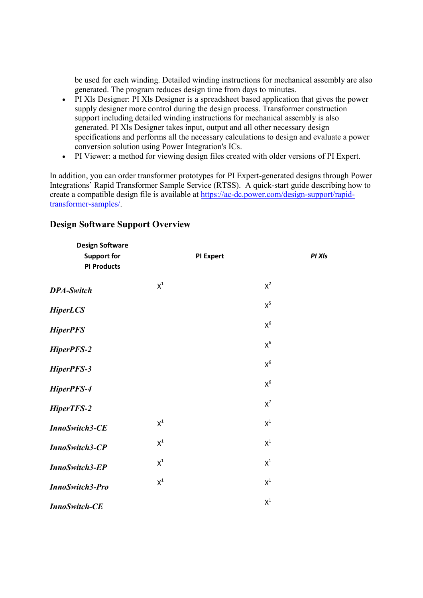be used for each winding. Detailed winding instructions for mechanical assembly are also generated. The program reduces design time from days to minutes.

- PI Xls Designer: PI Xls Designer is a spreadsheet based application that gives the power supply designer more control during the design process. Transformer construction support including detailed winding instructions for mechanical assembly is also generated. PI Xls Designer takes input, output and all other necessary design specifications and performs all the necessary calculations to design and evaluate a power conversion solution using Power Integration's ICs.
- PI Viewer: a method for viewing design files created with older versions of PI Expert.

In addition, you can order transformer prototypes for PI Expert-generated designs through Power Integrations' Rapid Transformer Sample Service (RTSS). A quick-start guide describing how to create a compatible design file is available at https://ac-dc.power.com/design-support/rapidtransformer-samples/.

| <b>Design Software</b><br><b>Support for</b><br><b>PI Products</b> |                | <b>PI Expert</b> | PI XI <sub>s</sub> |
|--------------------------------------------------------------------|----------------|------------------|--------------------|
| <b>DPA-Switch</b>                                                  | $\mathsf{X}^1$ |                  | $X^2$              |
| <b>HiperLCS</b>                                                    |                |                  | $X^5$              |
| <b>HiperPFS</b>                                                    |                |                  | $\mathsf{X}^6$     |
| HiperPFS-2                                                         |                |                  | $\mathsf{X}^6$     |
| HiperPFS-3                                                         |                |                  | $\mathsf{X}^6$     |
| HiperPFS-4                                                         |                |                  | $X^6$              |
| HiperTFS-2                                                         |                |                  | $\mathsf{X}^7$     |
| <b>InnoSwitch3-CE</b>                                              | $\mathsf{X}^1$ |                  | $\mathsf{X}^1$     |
| InnoSwitch3-CP                                                     | $\mathsf{X}^1$ |                  | $\mathsf{X}^1$     |
| <b>InnoSwitch3-EP</b>                                              | $\mathsf{X}^1$ |                  | $\mathsf{X}^1$     |
| <b>InnoSwitch3-Pro</b>                                             | $\mathsf{X}^1$ |                  | $\mathsf{X}^1$     |
| <b>InnoSwitch-CE</b>                                               |                |                  | $\mathsf{X}^1$     |

# **Design Software Support Overview**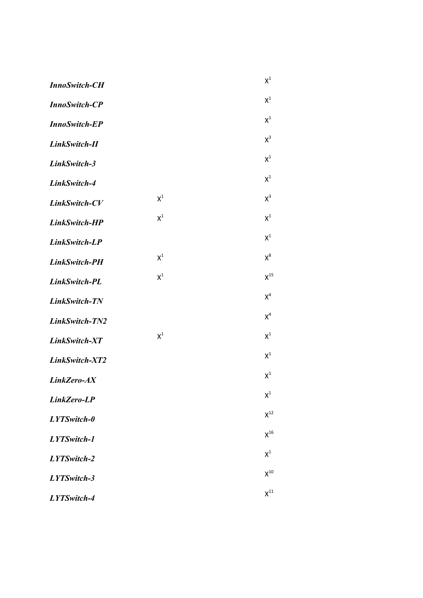| <b>InnoSwitch-CH</b> |                | $\mathsf{X}^1$ |
|----------------------|----------------|----------------|
| <b>InnoSwitch-CP</b> |                | $\mathsf{X}^1$ |
| <b>InnoSwitch-EP</b> |                | $\mathsf{X}^1$ |
| LinkSwitch-II        |                | $X^3$          |
| LinkSwitch-3         |                | $X^1$          |
| LinkSwitch-4         |                | $X^1$          |
| LinkSwitch-CV        | $\mathsf{X}^1$ | $X^3$          |
| LinkSwitch-HP        | $X^1$          | $X^1$          |
| LinkSwitch-LP        |                | $X^1$          |
| LinkSwitch-PH        | $\mathsf{X}^1$ | $X^8$          |
| LinkSwitch-PL        | $X^1$          | $X^{15}$       |
| LinkSwitch-TN        |                | $X^4$          |
| LinkSwitch-TN2       |                | $X^4$          |
| LinkSwitch-XT        | $X^1$          | $X^1$          |
| LinkSwitch-XT2       |                | $X^1$          |
| LinkZero-AX          |                | $\mathsf{X}^1$ |
| LinkZero-LP          |                | $X^1$          |
| LYTSwitch-0          |                | $X^{12}$       |
| LYTSwitch-1          |                | $X^{16}$       |
| LYTSwitch-2          |                | $X^1$          |
| LYTSwitch-3          |                | $X^{10}$       |
| LYTSwitch-4          |                | $X^{11}$       |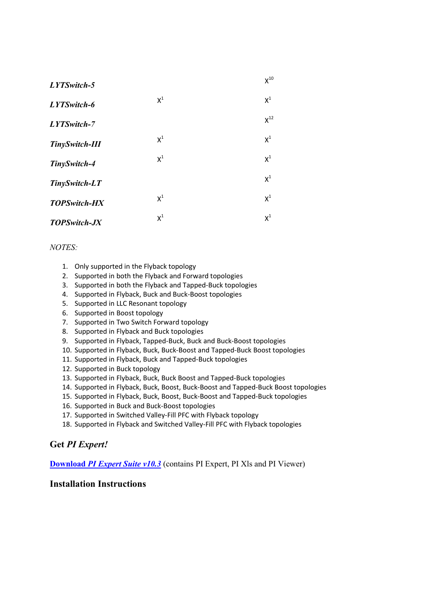| LYTSwitch-5           |       | $X^{10}$ |
|-----------------------|-------|----------|
| LYTSwitch-6           | $X^1$ | $X^1$    |
| LYTSwitch-7           |       | $X^{12}$ |
| <b>TinySwitch-III</b> | $X^1$ | $X^1$    |
| TinySwitch-4          | $X^1$ | $X^1$    |
| TinySwitch-LT         |       | $X^1$    |
| <b>TOPSwitch-HX</b>   | $X^1$ | $X^1$    |
| <b>TOPSwitch-JX</b>   | $X^1$ | $X^1$    |

## *NOTES:*

- 1. Only supported in the Flyback topology
- 2. Supported in both the Flyback and Forward topologies
- 3. Supported in both the Flyback and Tapped-Buck topologies
- 4. Supported in Flyback, Buck and Buck-Boost topologies
- 5. Supported in LLC Resonant topology
- 6. Supported in Boost topology
- 7. Supported in Two Switch Forward topology
- 8. Supported in Flyback and Buck topologies
- 9. Supported in Flyback, Tapped-Buck, Buck and Buck-Boost topologies
- 10. Supported in Flyback, Buck, Buck-Boost and Tapped-Buck Boost topologies
- 11. Supported in Flyback, Buck and Tapped-Buck topologies
- 12. Supported in Buck topology
- 13. Supported in Flyback, Buck, Buck Boost and Tapped-Buck topologies
- 14. Supported in Flyback, Buck, Boost, Buck-Boost and Tapped-Buck Boost topologies
- 15. Supported in Flyback, Buck, Boost, Buck-Boost and Tapped-Buck topologies
- 16. Supported in Buck and Buck-Boost topologies
- 17. Supported in Switched Valley-Fill PFC with Flyback topology
- 18. Supported in Flyback and Switched Valley-Fill PFC with Flyback topologies

# **Get** *PI Expert!*

**Download** *PI Expert Suite v10.3* (contains PI Expert, PI Xls and PI Viewer)

## **Installation Instructions**